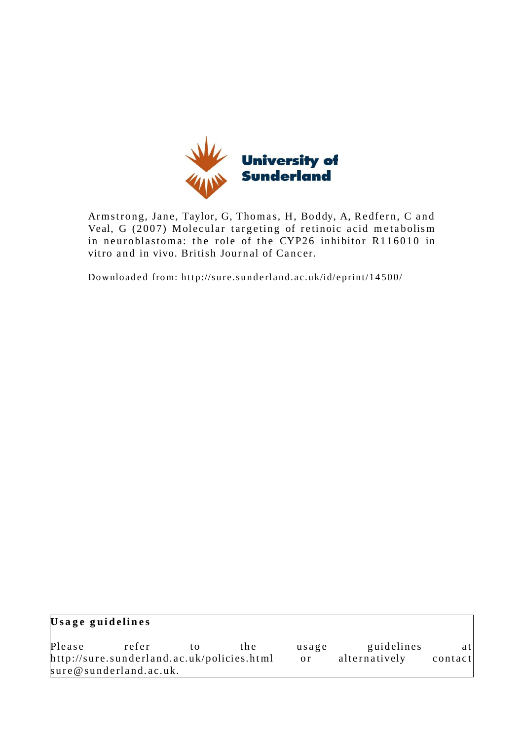

Armstrong, Jane, Taylor, G, Thomas, H, Boddy, A, Redfern, C and Veal, G (2007) Molecular targeting of retinoic acid metabolism in neuroblastoma: the role of the CYP26 inhibitor R116010 in vitro and in vivo. British Journal of Cancer.

Downloaded from: http://sure.sunderland.ac.uk/id/eprint/14500/

| Usage guidelines                           |                        |    |               |               |            |     |
|--------------------------------------------|------------------------|----|---------------|---------------|------------|-----|
| Please                                     | refer                  | tΩ | the.          | usage         | guidelines | atl |
| http://sure.sunderland.ac.uk/policies.html |                        |    | <sub>or</sub> | alternatively | contact    |     |
|                                            | sure@sunderland.ac.uk. |    |               |               |            |     |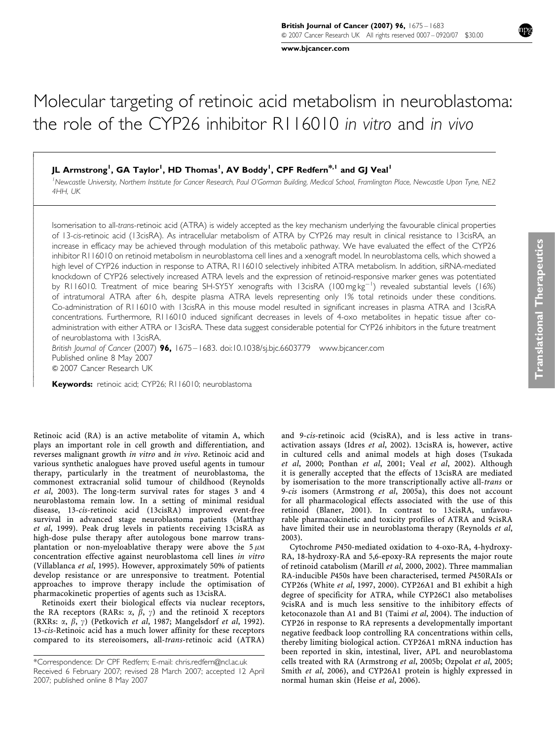www.bjcancer.com

# Molecular targeting of retinoic acid metabolism in neuroblastoma: the role of the CYP26 inhibitor R116010 in vitro and in vivo

# JL Armstrong<sup>1</sup>, GA Taylor<sup>1</sup>, HD Thomas<sup>1</sup>, AV Boddy<sup>1</sup>, CPF Redfern<sup>\*,1</sup> and GJ Veal<sup>1</sup>

<sup>1</sup>Newcastle University, Northem Institute for Cancer Research, Paul O'Gorman Building, Medical School, Framlington Place, Newcastle Upon Tyne, NE2 4HH, UK

Isomerisation to all-trans-retinoic acid (ATRA) is widely accepted as the key mechanism underlying the favourable clinical properties of 13-cis-retinoic acid (13cisRA). As intracellular metabolism of ATRA by CYP26 may result in clinical resistance to 13cisRA, an increase in efficacy may be achieved through modulation of this metabolic pathway. We have evaluated the effect of the CYP26 inhibitor R116010 on retinoid metabolism in neuroblastoma cell lines and a xenograft model. In neuroblastoma cells, which showed a high level of CYP26 induction in response to ATRA, R116010 selectively inhibited ATRA metabolism. In addition, siRNA-mediated knockdown of CYP26 selectively increased ATRA levels and the expression of retinoid-responsive marker genes was potentiated by R116010. Treatment of mice bearing SH-SY5Y xenografts with 13cisRA (100 mg kg<sup>-1</sup>) revealed substantial levels (16%) of intratumoral ATRA after 6 h, despite plasma ATRA levels representing only 1% total retinoids under these conditions. Co-administration of R116010 with 13cisRA in this mouse model resulted in significant increases in plasma ATRA and 13cisRA concentrations. Furthermore, R116010 induced significant decreases in levels of 4-oxo metabolites in hepatic tissue after coadministration with either ATRA or 13cisRA. These data suggest considerable potential for CYP26 inhibitors in the future treatment of neuroblastoma with 13cisRA.

British Journal of Cancer (2007) 96, 1675 – 1683. doi:10.1038/sj.bjc.6603779 www.bjcancer.com Published online 8 May 2007 & 2007 Cancer Research UK

Keywords: retinoic acid; CYP26; R116010; neuroblastoma

 $\overline{1}$  $\overline{\phantom{a}}$  $\bigg\}$  $\bigg\}$  $\overline{\phantom{a}}$  $\overline{\phantom{a}}$  $\overline{\phantom{a}}$  $\bigg\}$  $\bigg\}$  $\overline{\phantom{a}}$ ļ ľ  $\bigg\}$  $\bigg\}$  $\overline{\phantom{a}}$  $\overline{\phantom{a}}$  $\overline{\phantom{a}}$  $\overline{\phantom{a}}$  $\bigg\}$  $\bigg\}$  $\overline{\phantom{a}}$  $\overline{\phantom{a}}$  $\overline{\phantom{a}}$  $\overline{\phantom{a}}$  $\bigg\}$  $\bigg\}$  $\overline{\phantom{a}}$  $\overline{\phantom{a}}$  $\overline{\phantom{a}}$  $\bigg\}$  $\bigg\}$  $\overline{\phantom{a}}$  $\overline{\phantom{a}}$  $\overline{\phantom{a}}$  $\overline{\phantom{a}}$  $\bigg\}$  $\bigg\}$  $\overline{\phantom{a}}$  $\overline{\phantom{a}}$  $\overline{\phantom{a}}$  $\overline{\phantom{a}}$  $\overline{\phantom{a}}$  $\overline{\phantom{a}}$  $\overline{\phantom{a}}$  $\overline{\phantom{a}}$  $\overline{\phantom{a}}$  $\overline{\phantom{a}}$ 

Retinoic acid (RA) is an active metabolite of vitamin A, which plays an important role in cell growth and differentiation, and reverses malignant growth in vitro and in vivo. Retinoic acid and various synthetic analogues have proved useful agents in tumour therapy, particularly in the treatment of neuroblastoma, the commonest extracranial solid tumour of childhood (Reynolds et al, 2003). The long-term survival rates for stages 3 and 4 neuroblastoma remain low. In a setting of minimal residual disease, 13-cis-retinoic acid (13cisRA) improved event-free survival in advanced stage neuroblastoma patients (Matthay et al, 1999). Peak drug levels in patients receiving 13cisRA as high-dose pulse therapy after autologous bone marrow transplantation or non-myeloablative therapy were above the  $5 \mu$ M concentration effective against neuroblastoma cell lines in vitro (Villablanca et al, 1995). However, approximately 50% of patients develop resistance or are unresponsive to treatment. Potential approaches to improve therapy include the optimisation of pharmacokinetic properties of agents such as 13cisRA.

Retinoids exert their biological effects via nuclear receptors, the RA receptors (RARs:  $\alpha$ ,  $\beta$ ,  $\gamma$ ) and the retinoid X receptors (RXRs:  $\alpha$ ,  $\beta$ ,  $\gamma$ ) (Petkovich *et al*, 1987; Mangelsdorf *et al*, 1992). 13-cis-Retinoic acid has a much lower affinity for these receptors compared to its stereoisomers, all-trans-retinoic acid (ATRA) and 9-cis-retinoic acid (9cisRA), and is less active in transactivation assays (Idres et al, 2002). 13cisRA is, however, active in cultured cells and animal models at high doses (Tsukada et al, 2000; Ponthan et al, 2001; Veal et al, 2002). Although it is generally accepted that the effects of 13cisRA are mediated by isomerisation to the more transcriptionally active all-trans or 9-cis isomers (Armstrong et al, 2005a), this does not account for all pharmacological effects associated with the use of this retinoid (Blaner, 2001). In contrast to 13cisRA, unfavourable pharmacokinetic and toxicity profiles of ATRA and 9cisRA have limited their use in neuroblastoma therapy (Reynolds et al, 2003).

Cytochrome P450-mediated oxidation to 4-oxo-RA, 4-hydroxy-RA, 18-hydroxy-RA and 5,6-epoxy-RA represents the major route of retinoid catabolism (Marill et al, 2000, 2002). Three mammalian RA-inducible P450s have been characterised, termed P450RAIs or CYP26s (White et al, 1997, 2000). CYP26A1 and B1 exhibit a high degree of specificity for ATRA, while CYP26C1 also metabolises 9cisRA and is much less sensitive to the inhibitory effects of ketoconazole than A1 and B1 (Taimi et al, 2004). The induction of CYP26 in response to RA represents a developmentally important negative feedback loop controlling RA concentrations within cells, thereby limiting biological action. CYP26A1 mRNA induction has been reported in skin, intestinal, liver, APL and neuroblastoma cells treated with RA (Armstrong et al, 2005b; Ozpolat et al, 2005; Smith et al, 2006), and CYP26A1 protein is highly expressed in normal human skin (Heise et al, 2006).

Received 6 February 2007; revised 28 March 2007; accepted 12 April 2007; published online 8 May 2007 \*Correspondence: Dr CPF Redfern; E-mail: chris.redfern@ncl.ac.uk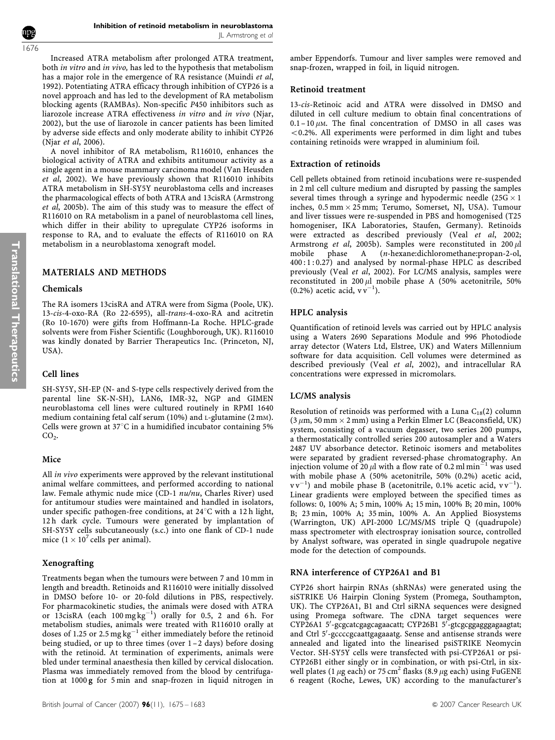Inhibition of retinoid metabolism in neuroblastoma JL Armstrong et al

Increased ATRA metabolism after prolonged ATRA treatment, both in vitro and in vivo, has led to the hypothesis that metabolism has a major role in the emergence of RA resistance (Muindi et al, 1992). Potentiating ATRA efficacy through inhibition of CYP26 is a novel approach and has led to the development of RA metabolism blocking agents (RAMBAs). Non-specific P450 inhibitors such as liarozole increase ATRA effectiveness in vitro and in vivo (Njar, 2002), but the use of liarozole in cancer patients has been limited by adverse side effects and only moderate ability to inhibit CYP26 (Njar et al, 2006).

A novel inhibitor of RA metabolism, R116010, enhances the biological activity of ATRA and exhibits antitumour activity as a single agent in a mouse mammary carcinoma model (Van Heusden et al, 2002). We have previously shown that R116010 inhibits ATRA metabolism in SH-SY5Y neuroblastoma cells and increases the pharmacological effects of both ATRA and 13cisRA (Armstrong et al, 2005b). The aim of this study was to measure the effect of R116010 on RA metabolism in a panel of neuroblastoma cell lines, which differ in their ability to upregulate CYP26 isoforms in response to RA, and to evaluate the effects of R116010 on RA metabolism in a neuroblastoma xenograft model.

# MATERIALS AND METHODS

#### Chemicals

Translational

**Translational Therapeutics** 

Therapeutics

The RA isomers 13cisRA and ATRA were from Sigma (Poole, UK). 13-cis-4-oxo-RA (Ro 22-6595), all-trans-4-oxo-RA and acitretin (Ro 10-1670) were gifts from Hoffmann-La Roche. HPLC-grade solvents were from Fisher Scientific (Loughborough, UK). R116010 was kindly donated by Barrier Therapeutics Inc. (Princeton, NJ, USA).

# Cell lines

SH-SY5Y, SH-EP (N- and S-type cells respectively derived from the parental line SK-N-SH), LAN6, IMR-32, NGP and GIMEN neuroblastoma cell lines were cultured routinely in RPMI 1640 medium containing fetal calf serum (10%) and L-glutamine (2 mM). Cells were grown at  $37^{\circ}$ C in a humidified incubator containing 5%  $CO<sub>2</sub>$ .

#### Mice

All *in vivo* experiments were approved by the relevant institutional animal welfare committees, and performed according to national law. Female athymic nude mice (CD-1  $nu/nu$ , Charles River) used for antitumour studies were maintained and handled in isolators, under specific pathogen-free conditions, at  $24^{\circ}$ C with a 12 h light, 12 h dark cycle. Tumours were generated by implantation of SH-SY5Y cells subcutaneously (s.c.) into one flank of CD-1 nude mice  $(1 \times 10^7 \text{ cells per animal}).$ 

# Xenografting

Treatments began when the tumours were between 7 and 10 mm in length and breadth. Retinoids and R116010 were initially dissolved in DMSO before 10- or 20-fold dilutions in PBS, respectively. For pharmacokinetic studies, the animals were dosed with ATRA or  $13c$ isRA (each  $100 \text{ mg kg}^{-1}$ ) orally for 0.5, 2 and 6h. For metabolism studies, animals were treated with R116010 orally at doses of 1.25 or 2.5 mg  $kg^{-1}$  either immediately before the retinoid being studied, or up to three times (over 1 –2 days) before dosing with the retinoid. At termination of experiments, animals were bled under terminal anaesthesia then killed by cervical dislocation. Plasma was immediately removed from the blood by centrifugation at 1000 g for 5 min and snap-frozen in liquid nitrogen in

amber Eppendorfs. Tumour and liver samples were removed and snap-frozen, wrapped in foil, in liquid nitrogen.

### Retinoid treatment

13-cis-Retinoic acid and ATRA were dissolved in DMSO and diluted in cell culture medium to obtain final concentrations of  $0.1 - 10 \mu$ M. The final concentration of DMSO in all cases was  $< 0.2$ %. All experiments were performed in dim light and tubes containing retinoids were wrapped in aluminium foil.

#### Extraction of retinoids

Cell pellets obtained from retinoid incubations were re-suspended in 2 ml cell culture medium and disrupted by passing the samples several times through a syringe and hypodermic needle (25G  $\times$  1 inches,  $0.5\,\mathrm{mm}\times25\,\mathrm{mm};$  Terumo, Somerset, NJ, USA). Tumour and liver tissues were re-suspended in PBS and homogenised (T25 homogeniser, IKA Laboratories, Staufen, Germany). Retinoids were extracted as described previously (Veal et al, 2002; Armstrong et al, 2005b). Samples were reconstituted in 200  $\mu$ l mobile phase A (*n*-hexane:dichloromethane:propan-2-ol, mobile phase A (n-hexane:dichloromethane:propan-2-ol, 400 : 1 : 0.27) and analysed by normal-phase HPLC as described previously (Veal et al, 2002). For LC/MS analysis, samples were reconstituted in  $200 \mu l$  mobile phase A (50% acetonitrile, 50% (0.2%) acetic acid,  $vv^{-1}$ ).

# HPLC analysis

Quantification of retinoid levels was carried out by HPLC analysis using a Waters 2690 Separations Module and 996 Photodiode array detector (Waters Ltd, Elstree, UK) and Waters Millennium software for data acquisition. Cell volumes were determined as described previously (Veal et al, 2002), and intracellular RA concentrations were expressed in micromolars.

#### LC/MS analysis

Resolution of retinoids was performed with a Luna  $C_{18}(2)$  column (3  $\mu$ m, 50 mm  $\times$  2 mm) using a Perkin Elmer LC (Beaconsfield, UK) system, consisting of a vacuum degasser, two series 200 pumps, a thermostatically controlled series 200 autosampler and a Waters 2487 UV absorbance detector. Retinoic isomers and metabolites were separated by gradient reversed-phase chromatography. An injection volume of 20  $\mu$ l with a flow rate of 0.2 ml min<sup>-1</sup> was used with mobile phase A (50% acetonitrile, 50% (0.2%) acetic acid,  $vv^{-1}$ ) and mobile phase B (acetonitrile, 0.1% acetic acid,  $vv^{-1}$ ). Linear gradients were employed between the specified times as follows: 0, 100% A; 5 min, 100% A; 15 min, 100% B; 20 min, 100% B; 23 min, 100% A; 35 min, 100% A. An Applied Biosystems (Warrington, UK) API-2000 LC/MS/MS triple Q (quadrupole) mass spectrometer with electrospray ionisation source, controlled by Analyst software, was operated in single quadrupole negative mode for the detection of compounds.

# RNA interference of CYP26A1 and B1

CYP26 short hairpin RNAs (shRNAs) were generated using the siSTRIKE U6 Hairpin Cloning System (Promega, Southampton, UK). The CYP26A1, B1 and Ctrl siRNA sequences were designed using Promega software. The cDNA target sequences were CYP26A1 5'-gcgcatcgagcagaacatt; CYP26B1 5'-gtcgcggaggggagaagtat; and Ctrl 5'-gccccgcaattgagaaatg. Sense and antisense strands were annealed and ligated into the linearised psiSTRIKE Neomycin Vector. SH-SY5Y cells were transfected with psi-CYP26A1 or psi-CYP26B1 either singly or in combination, or with psi-Ctrl, in sixwell plates (1  $\mu$ g each) or 75 cm<sup>2</sup> flasks (8.9  $\mu$ g each) using FuGENE 6 reagent (Roche, Lewes, UK) according to the manufacturer's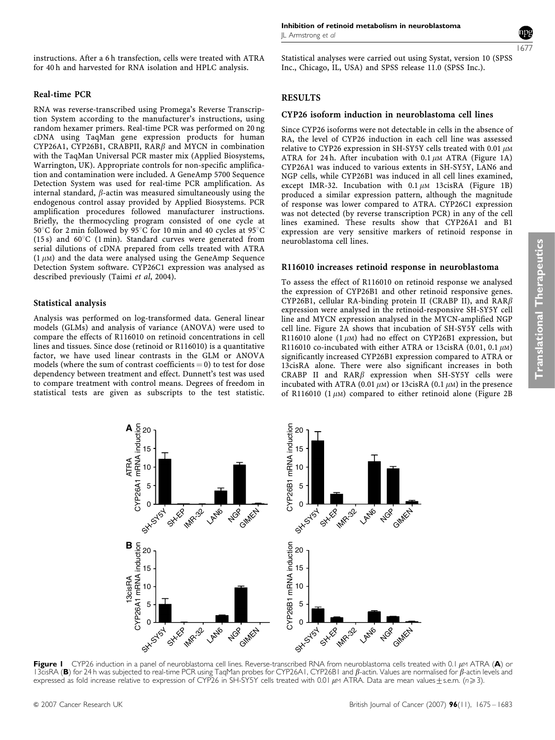instructions. After a 6 h transfection, cells were treated with ATRA for 40 h and harvested for RNA isolation and HPLC analysis.

# Real-time PCR

RNA was reverse-transcribed using Promega's Reverse Transcription System according to the manufacturer's instructions, using random hexamer primers. Real-time PCR was performed on 20 ng cDNA using TaqMan gene expression products for human CYP26A1, CYP26B1, CRABPII, RAR $\beta$  and MYCN in combination with the TaqMan Universal PCR master mix (Applied Biosystems, Warrington, UK). Appropriate controls for non-specific amplification and contamination were included. A GeneAmp 5700 Sequence Detection System was used for real-time PCR amplification. As internal standard,  $\beta$ -actin was measured simultaneously using the endogenous control assay provided by Applied Biosystems. PCR amplification procedures followed manufacturer instructions. Briefly, the thermocycling program consisted of one cycle at 50°C for 2 min followed by 95°C for 10 min and 40 cycles at 95°C (15 s) and  $60^{\circ}$ C (1 min). Standard curves were generated from serial dilutions of cDNA prepared from cells treated with ATRA  $(1 \mu)$  and the data were analysed using the GeneAmp Sequence Detection System software. CYP26C1 expression was analysed as described previously (Taimi et al, 2004).

# Statistical analysis

Analysis was performed on log-transformed data. General linear models (GLMs) and analysis of variance (ANOVA) were used to compare the effects of R116010 on retinoid concentrations in cell lines and tissues. Since dose (retinoid or R116010) is a quantitative factor, we have used linear contrasts in the GLM or ANOVA models (where the sum of contrast coefficients  $= 0$ ) to test for dose dependency between treatment and effect. Dunnett's test was used to compare treatment with control means. Degrees of freedom in statistical tests are given as subscripts to the test statistic.

15

10

ATRA

1677

Statistical analyses were carried out using Systat, version 10 (SPSS Inc., Chicago, IL, USA) and SPSS release 11.0 (SPSS Inc.).

# RESULTS

#### CYP26 isoform induction in neuroblastoma cell lines

Since CYP26 isoforms were not detectable in cells in the absence of RA, the level of CYP26 induction in each cell line was assessed relative to CYP26 expression in SH-SY5Y cells treated with 0.01  $\mu$ M ATRA for 24 h. After incubation with 0.1  $\mu$ M ATRA (Figure 1A) CYP26A1 was induced to various extents in SH-SY5Y, LAN6 and NGP cells, while CYP26B1 was induced in all cell lines examined, except IMR-32. Incubation with  $0.1 \mu M$  13cisRA (Figure 1B) produced a similar expression pattern, although the magnitude of response was lower compared to ATRA. CYP26C1 expression was not detected (by reverse transcription PCR) in any of the cell lines examined. These results show that CYP26A1 and B1 expression are very sensitive markers of retinoid response in neuroblastoma cell lines.

#### R116010 increases retinoid response in neuroblastoma

To assess the effect of R116010 on retinoid response we analysed the expression of CYP26B1 and other retinoid responsive genes. CYP26B1, cellular RA-binding protein II (CRABP II), and  $RAR\beta$ expression were analysed in the retinoid-responsive SH-SY5Y cell line and MYCN expression analysed in the MYCN-amplified NGP cell line. Figure 2A shows that incubation of SH-SY5Y cells with R116010 alone  $(1 \mu)$  had no effect on CYP26B1 expression, but R116010 co-incubated with either ATRA or 13cisRA (0.01, 0.1  $\mu$ M) significantly increased CYP26B1 expression compared to ATRA or 13cisRA alone. There were also significant increases in both CRABP II and  $RAR\beta$  expression when SH-SY5Y cells were incubated with ATRA (0.01  $\mu$ M) or 13cisRA (0.1  $\mu$ M) in the presence of R116010 (1 $\mu$ M) compared to either retinoid alone (Figure 2B

**A** <sup>20</sup> CYP26B1 mRNA induction CYP26A1 mRNA induction CYP26B1 mRNA induction 5 5 IMA<sub>32</sub> 0 L 54 SH-EP LANG 0 11 **SH-EP LAN6 NG**P Gilwest IMA<sub>C32</sub> **NG**S Gilvich **B**<br>CYP26A1 mRNA induction<br>
c o o d d d d<br>
c o o d d d CYP26B1 mRNA induction CYP26B1 mRNA induction CYP26A1 mRNA induction 20 15 15 13cisRA 10 10 5 5  $\Omega$ **LAN6**  $\overline{0}$ **SH-EP IMR-32** SH-EP IMA-32 SH-System **NG**P GIMEN LANG **NGP** Strst<sup>61</sup> Gildkich

20 15

10

Figure I CYP26 induction in a panel of neuroblastoma cell lines. Reverse-transcribed RNA from neuroblastoma cells treated with 0.1  $\mu$ m ATRA (A) or 13cisRA (B) for 24 h was subjected to real-time PCR using TaqMan probes for CYP26A1, CYP26B1 and  $\beta$ -actin. Values are normalised for  $\beta$ -actin levels and expressed as fold increase relative to expression of CYP26 in SH-SY5Y cells treated with 0.01  $\mu$ M ATRA. Data are mean values  $\pm$  s.e.m. (n  $\geq$  3).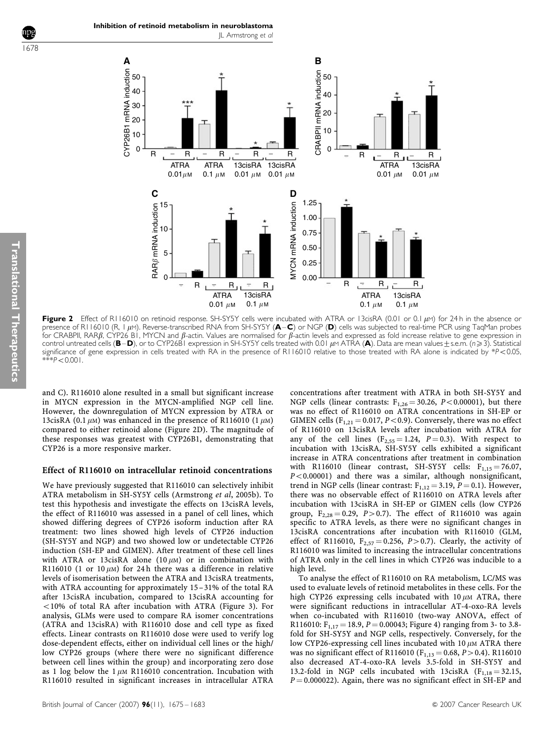**A**



Figure 2 Effect of R116010 on retinoid response. SH-SY5Y cells were incubated with ATRA or 13cisRA (0.01 or 0.1 µM) for 24 h in the absence or presence of R116010 (R, 1  $\mu$ M). Reverse-transcribed RNA from SH-SY5Y (A–C) or NGP (D) cells was subjected to real-time PCR using TaqMan probes for CRABPII, RARB, CYP26 B1, MYCN and  $\beta$ -actin. Values are normalised for  $\beta$ -actin levels and expressed as fold increase relative to gene expression in control untreated cells (B-D), or to CYP26B1 expression in SH-SY5Y cells treated with 0.01  $\mu$ M ATRA (A). Data are mean values  $\pm$  s.e.m. (n  $\geq$  3). Statistical significance of gene expression in cells treated with RA in the presence of R116010 relative to those treated with RA alone is indicated by \*P<0.05,  $* p < 0.001$ .

and C). R116010 alone resulted in a small but significant increase in MYCN expression in the MYCN-amplified NGP cell line. However, the downregulation of MYCN expression by ATRA or 13cisRA (0.1  $\mu$ M) was enhanced in the presence of R116010 (1  $\mu$ M) compared to either retinoid alone (Figure 2D). The magnitude of these responses was greatest with CYP26B1, demonstrating that CYP26 is a more responsive marker.

#### Effect of R116010 on intracellular retinoid concentrations

We have previously suggested that R116010 can selectively inhibit ATRA metabolism in SH-SY5Y cells (Armstrong et al, 2005b). To test this hypothesis and investigate the effects on 13cisRA levels, the effect of R116010 was assessed in a panel of cell lines, which showed differing degrees of CYP26 isoform induction after RA treatment: two lines showed high levels of CYP26 induction (SH-SY5Y and NGP) and two showed low or undetectable CYP26 induction (SH-EP and GIMEN). After treatment of these cell lines with ATRA or 13cisRA alone  $(10 \mu)$  or in combination with R116010 (1 or 10  $\mu$ M) for 24 h there was a difference in relative levels of isomerisation between the ATRA and 13cisRA treatments, with ATRA accounting for approximately 15 –31% of the total RA after 13cisRA incubation, compared to 13cisRA accounting for  $10\%$  of total RA after incubation with ATRA (Figure 3). For analysis, GLMs were used to compare RA isomer concentrations (ATRA and 13cisRA) with R116010 dose and cell type as fixed effects. Linear contrasts on R116010 dose were used to verify log dose-dependent effects, either on individual cell lines or the high/ low CYP26 groups (where there were no significant difference between cell lines within the group) and incorporating zero dose as 1 log below the 1 $\mu$ M R116010 concentration. Incubation with R116010 resulted in significant increases in intracellular ATRA concentrations after treatment with ATRA in both SH-SY5Y and NGP cells (linear contrasts:  $F_{1,26} = 30.26$ ,  $P < 0.00001$ ), but there was no effect of R116010 on ATRA concentrations in SH-EP or GIMEN cells ( $F_{1,21} = 0.017$ ,  $P < 0.9$ ). Conversely, there was no effect of R116010 on 13cisRA levels after incubation with ATRA for any of the cell lines  $(F_{2,55} = 1.24, P = 0.3)$ . With respect to incubation with 13cisRA, SH-SY5Y cells exhibited a significant increase in ATRA concentrations after treatment in combination with R116010 (linear contrast, SH-SY5Y cells:  $F_{1,15} = 76.07$ ,  $P < 0.00001$ ) and there was a similar, although nonsignificant, trend in NGP cells (linear contrast:  $F_{1,12} = 3.19$ ,  $P = 0.1$ ). However, there was no observable effect of R116010 on ATRA levels after incubation with 13cisRA in SH-EP or GIMEN cells (low CYP26 group,  $F_{2,28} = 0.29$ ,  $P > 0.7$ ). The effect of R116010 was again specific to ATRA levels, as there were no significant changes in 13cisRA concentrations after incubation with R116010 (GLM, effect of R116010,  $F_{2,57} = 0.256$ ,  $P > 0.7$ ). Clearly, the activity of R116010 was limited to increasing the intracellular concentrations of ATRA only in the cell lines in which CYP26 was inducible to a high level.

To analyse the effect of R116010 on RA metabolism, LC/MS was used to evaluate levels of retinoid metabolites in these cells. For the high CYP26 expressing cells incubated with  $10 \mu M$  ATRA, there were significant reductions in intracellular AT-4-oxo-RA levels when co-incubated with R116010 (two-way ANOVA, effect of R116010:  $F_{1,17} = 18.9, P = 0.00043$ ; Figure 4) ranging from 3- to 3.8fold for SH-SY5Y and NGP cells, respectively. Conversely, for the low CYP26-expressing cell lines incubated with  $10 \mu M$  ATRA there was no significant effect of R116010 ( $F_{1,13} = 0.68, P > 0.4$ ). R116010 also decreased AT-4-oxo-RA levels 3.5-fold in SH-SY5Y and 13.2-fold in NGP cells incubated with 13cisRA  $(F_{1,18} = 32.15,$  $P = 0.000022$ ). Again, there was no significant effect in SH-EP and

1678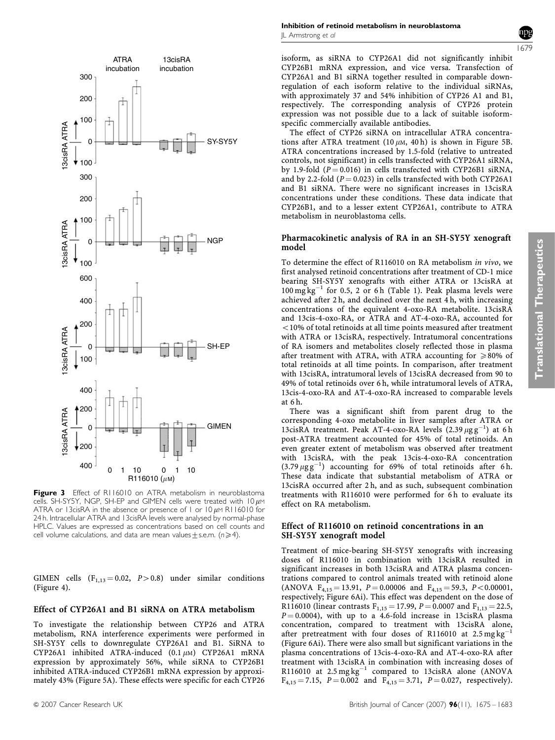

Figure 3 Effect of R116010 on ATRA metabolism in neuroblastoma cells. SH-SY5Y, NGP, SH-EP and GIMEN cells were treated with  $10 \mu$ M ATRA or 13cisRA in the absence or presence of 1 or 10  $\mu$ M R116010 for 24 h. Intracellular ATRA and 13cisRA levels were analysed by normal-phase HPLC. Values are expressed as concentrations based on cell counts and cell volume calculations, and data are mean values  $\pm$  s.e.m. (n $\geq$ 4).

GIMEN cells  $(F_{1,13} = 0.02, P > 0.8)$  under similar conditions (Figure 4).

#### Effect of CYP26A1 and B1 siRNA on ATRA metabolism

To investigate the relationship between CYP26 and ATRA metabolism, RNA interference experiments were performed in SH-SY5Y cells to downregulate CYP26A1 and B1. SiRNA to CYP26A1 inhibited ATRA-induced  $(0.1 \mu M)$  CYP26A1 mRNA expression by approximately 56%, while siRNA to CYP26B1 inhibited ATRA-induced CYP26B1 mRNA expression by approximately 43% (Figure 5A). These effects were specific for each CYP26



CYP26B1 mRNA expression, and vice versa. Transfection of CYP26A1 and B1 siRNA together resulted in comparable downregulation of each isoform relative to the individual siRNAs, with approximately 37 and 54% inhibition of CYP26 A1 and B1, respectively. The corresponding analysis of CYP26 protein expression was not possible due to a lack of suitable isoformspecific commercially available antibodies.

The effect of CYP26 siRNA on intracellular ATRA concentrations after ATRA treatment (10  $\mu$ M, 40 h) is shown in Figure 5B. ATRA concentrations increased by 1.5-fold (relative to untreated controls, not significant) in cells transfected with CYP26A1 siRNA, by 1.9-fold ( $P = 0.016$ ) in cells transfected with CYP26B1 siRNA, and by 2.2-fold ( $P = 0.023$ ) in cells transfected with both CYP26A1 and B1 siRNA. There were no significant increases in 13cisRA concentrations under these conditions. These data indicate that CYP26B1, and to a lesser extent CYP26A1, contribute to ATRA metabolism in neuroblastoma cells.

#### Pharmacokinetic analysis of RA in an SH-SY5Y xenograft model

To determine the effect of R116010 on RA metabolism in vivo, we first analysed retinoid concentrations after treatment of CD-1 mice bearing SH-SY5Y xenografts with either ATRA or 13cisRA at  $100 \text{ mg} \text{ kg}^{-1}$  for 0.5, 2 or 6 h (Table 1). Peak plasma levels were achieved after 2 h, and declined over the next 4 h, with increasing concentrations of the equivalent 4-oxo-RA metabolite. 13cisRA and 13cis-4-oxo-RA, or ATRA and AT-4-oxo-RA, accounted for  $<$  10% of total retinoids at all time points measured after treatment with ATRA or 13cisRA, respectively. Intratumoral concentrations of RA isomers and metabolites closely reflected those in plasma after treatment with ATRA, with ATRA accounting for  $\geq 80\%$  of total retinoids at all time points. In comparison, after treatment with 13cisRA, intratumoral levels of 13cisRA decreased from 90 to 49% of total retinoids over 6 h, while intratumoral levels of ATRA, 13cis-4-oxo-RA and AT-4-oxo-RA increased to comparable levels at 6 h.

There was a significant shift from parent drug to the corresponding 4-oxo metabolite in liver samples after ATRA or 13cisRA treatment. Peak AT-4-oxo-RA levels  $(2.39 \mu g g^{-1})$  at 6h post-ATRA treatment accounted for 45% of total retinoids. An even greater extent of metabolism was observed after treatment with 13cisRA, with the peak 13cis-4-oxo-RA concentration  $(3.79 \,\mu\text{g}\text{g}^{-1})$  accounting for 69% of total retinoids after 6h. These data indicate that substantial metabolism of ATRA or 13cisRA occurred after 2 h, and as such, subsequent combination treatments with R116010 were performed for 6 h to evaluate its effect on RA metabolism.

# Effect of R116010 on retinoid concentrations in an SH-SY5Y xenograft model

Treatment of mice-bearing SH-SY5Y xenografts with increasing doses of R116010 in combination with 13cisRA resulted in significant increases in both 13cisRA and ATRA plasma concentrations compared to control animals treated with retinoid alone (ANOVA  $F_{4,15} = 13.91$ ,  $P = 0.00006$  and  $F_{4,15} = 59.3$ ,  $P < 0.00001$ , respectively; Figure 6Ai). This effect was dependent on the dose of R116010 (linear contrasts  $F_{1,15} = 17.99$ ,  $P = 0.0007$  and  $F_{1,13} = 22.5$ ,  $P = 0.0004$ , with up to a 4.6-fold increase in 13cisRA plasma concentration, compared to treatment with 13cisRA alone, after pretreatment with four doses of R116010 at  $2.5 \text{ mg kg}^{-1}$ (Figure 6Ai). There were also small but significant variations in the plasma concentrations of 13cis-4-oxo-RA and AT-4-oxo-RA after treatment with 13cisRA in combination with increasing doses of R116010 at  $2.5 \text{ mg}\,\text{kg}^{-1}$  compared to 13cisRA alone (ANOVA  $F_{4,15} = 7.15$ ,  $P = 0.002$  and  $F_{4,15} = 3.71$ ,  $P = 0.027$ , respectively).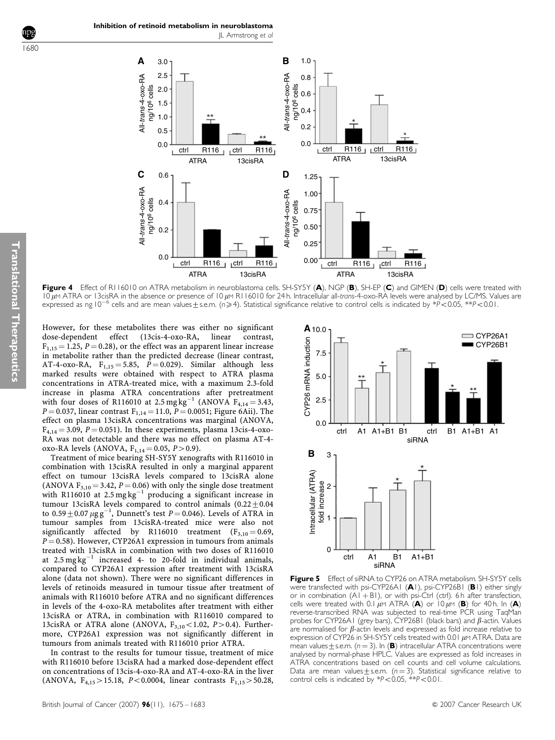

Figure 4 Effect of R116010 on ATRA metabolism in neuroblastoma cells. SH-SY5Y (A), NGP (B), SH-EP (C) and GIMEN (D) cells were treated with  $10 \mu$ M ATRA or 13cisRA in the absence or presence of 10  $\mu$ M R116010 for 24 h. Intracellular all-trans-4-oxo-RA levels were analysed by LC/MS. Values are expressed as ng  $10^{-6}$  cells and are mean values  $\pm$  s.e.m. (n $\geq$ 4). Statistical significance relative to control cells is indicated by \*P<0.05, \*\*P<0.01.

However, for these metabolites there was either no significant dose-dependent effect (13cis-4-oxo-RA, linear contrast,  $F_{1,15} = 1.25$ ,  $P = 0.28$ ), or the effect was an apparent linear increase in metabolite rather than the predicted decrease (linear contrast, AT-4-oxo-RA,  $F_{1,15} = 5.85$ ,  $P = 0.029$ ). Similar although less marked results were obtained with respect to ATRA plasma concentrations in ATRA-treated mice, with a maximum 2.3-fold increase in plasma ATRA concentrations after pretreatment with four doses of R116010 at 2.5 mg kg<sup>-1</sup> (ANOVA  $F_{4,14} = 3.43$ ,  $P = 0.037$ , linear contrast  $F_{1,14} = 11.0$ ,  $P = 0.0051$ ; Figure 6Aii). The effect on plasma 13cisRA concentrations was marginal (ANOVA,  $F_{4,14} = 3.09, P = 0.051$ ). In these experiments, plasma 13cis-4-oxo-RA was not detectable and there was no effect on plasma AT-4 oxo-RA levels (ANOVA,  $F_{1,14} = 0.05$ ,  $P > 0.9$ ).

Treatment of mice bearing SH-SY5Y xenografts with R116010 in combination with 13cisRA resulted in only a marginal apparent effect on tumour 13cisRA levels compared to 13cisRA alone (ANOVA  $F_{3,10} = 3.42$ ,  $P = 0.06$ ) with only the single dose treatment with R116010 at 2.5 mg kg<sup>-1</sup> producing a significant increase in tumour 13cisRA levels compared to control animals  $(0.22 \pm 0.04)$ to  $0.59 \pm 0.07$   $\mu$ g g<sup>-1</sup>, Dunnett's test P = 0.046). Levels of ATRA in tumour samples from 13cisRA-treated mice were also not significantly affected by  $R116010$  treatment  $(F_{3,10} = 0.69,$  $P = 0.58$ ). However, CYP26A1 expression in tumours from animals treated with 13cisRA in combination with two doses of R116010 at  $2.5 \text{ mg}\text{ kg}^{-1}$  increased 4- to 20-fold in individual animals, compared to CYP26A1 expression after treatment with 13cisRA alone (data not shown). There were no significant differences in levels of retinoids measured in tumour tissue after treatment of animals with R116010 before ATRA and no significant differences in levels of the 4-oxo-RA metabolites after treatment with either 13cisRA or ATRA, in combination with R116010 compared to 13cisRA or ATRA alone (ANOVA,  $F_{3,10}$  < 1.02, P > 0.4). Furthermore, CYP26A1 expression was not significantly different in tumours from animals treated with R116010 prior ATRA.

In contrast to the results for tumour tissue, treatment of mice with R116010 before 13cisRA had a marked dose-dependent effect on concentrations of 13cis-4-oxo-RA and AT-4-oxo-RA in the liver (ANOVA,  $F_{4,15} > 15.18$ , P<0.0004, linear contrasts  $F_{1,15} > 50.28$ ,



**Figure 5** Effect of siRNA to CYP26 on ATRA metabolism. SH-SY5Y cells were transfected with psi-CYP26A1 (A1), psi-CYP26B1 (B1) either singly or in combination  $(AI + BI)$ , or with psi-Ctrl (ctrl). 6 h after transfection, cells were treated with 0.1  $\mu$ M ATRA (A) or 10  $\mu$ M (B) for 40 h. In (A) reverse-transcribed RNA was subjected to real-time PCR using TaqMan probes for CYP26A1 (grey bars), CYP26B1 (black bars) and  $\beta$ -actin. Values are normalised for  $\beta$ -actin levels and expressed as fold increase relative to expression of CYP26 in SH-SY5Y cells treated with 0.01  $\mu$ M ATRA. Data are mean values  $\pm$  s.e.m. (n = 3). In (B) intracellular ATRA concentrations were analysed by normal-phase HPLC. Values are expressed as fold increases in ATRA concentrations based on cell counts and cell volume calculations. Data are mean values  $\pm$  s.e.m. (n = 3). Statistical significance relative to control cells is indicated by  $*P < 0.05$ ,  $*P < 0.01$ .

1680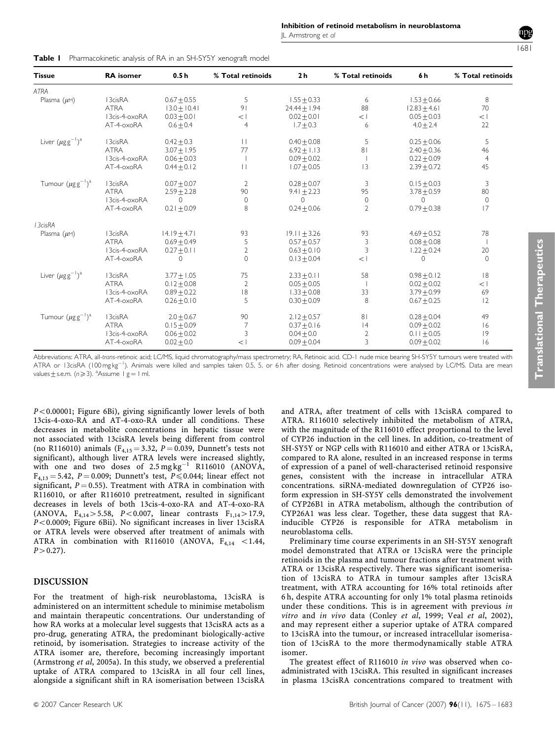JL Armstrong et al

ATRA 13.0 $\pm$  10.41 91 24.44 $\pm$  1.94 88 12.83 $\pm$ 4.61 70

Tissue 1888 RA isomer 19.5h % Total retinoids 2h % Total retinoids 6h % Total retinoids

Plasma ( $\mu$ m) 13cisRA 0.67 $\pm$ 0.55 5 1.55 $\pm$ 0.33 6 1.53 $\pm$ 0.66 8

 $13c$ is-4-oxoRA  $0.03 \pm 0.01$   $\lt 1$   $0.02 \pm 0.01$   $\lt 1$   $0.05 \pm 0.03$   $\lt 1$ AT-4-oxoRA 0.670.4 4 1.770.3 6 4.072.4 22 a 13cisRA  $0.42 \pm 0.3$  11  $0.40 \pm 0.08$  5  $0.25 \pm 0.06$  5 ATRA 3.0771.95 77 6.9271.13 81 2.4070.36 46 13cis-4-oxoRA  $0.06\pm0.03$  1  $0.09\pm0.02$  1 0.22 $\pm0.09$  4 AT-4-oxoRA 0.44±0.12 II I.07±0.05 I3 2.39±0.72 45 a 13cisRA  $0.07\pm0.07$  2  $0.28\pm0.07$  3  $0.15\pm0.03$  3 ATRA 2.5972.28 90 9.4172.23 95 3.7870.59 80 13cis-4-oxoRA 0 0 0 0 0 0 AT-4-oxoRA 0.21±0.09 8 0.24±0.06 2 0.79±0.38 17 Plasma (µM) I3cisRA I4.19±4.71 93 I9.11±3.26 93 4.69±0.52 78 ATRA  $0.69\pm0.49$  5  $0.57\pm0.57$  3  $0.08\pm0.08$  1 Translational TherapeuticsTranslational Therapeutics  $13cis-4-oxoRA$   $0.27 \pm 0.11$  2  $0.63 \pm 0.10$  3  $1.22 \pm 0.24$  20 AT-4-oxoRA 0 0 0.13±0.04 <1 0 0 a 13cisRA 3.77 $\pm$ 1.05 75 2.33 $\pm$ 0.11 58 0.98 $\pm$ 0.12 18 ATRA  $0.12 \pm 0.08$  2  $0.05 \pm 0.05$  1  $0.02 \pm 0.02$   $<$  1  $13$ cis-4-oxoRA  $0.89 \pm 0.22$  18  $1.33 \pm 0.08$  33  $3.79 \pm 0.99$  69 AT-4-oxoRA 0.26±0.10 5 0.30±0.09 8 0.67±0.25 12

|  | <b>Table I</b> Pharmacokinetic analysis of RA in an SH-SY5Y xenograft model |  |  |  |  |  |  |
|--|-----------------------------------------------------------------------------|--|--|--|--|--|--|
|--|-----------------------------------------------------------------------------|--|--|--|--|--|--|

ATRA

Liver  $(\mu g g^{-1})$ 

Tumour  $(\mu$ g $g^{-1})$ 

Liver  $(\mu$ gg $^{-1})$ 

Tumour  $(\mu$ g $g^{-1})$ 

13cisRA

|                                                                                                                                                                                                                                                                                                                                                         | 3cis-4-oxoRA | $0.06 + 0.02$ |  | $0.04 + 0.0$  |  | $0.11 + 0.05$ |    |  |
|---------------------------------------------------------------------------------------------------------------------------------------------------------------------------------------------------------------------------------------------------------------------------------------------------------------------------------------------------------|--------------|---------------|--|---------------|--|---------------|----|--|
|                                                                                                                                                                                                                                                                                                                                                         | AT-4-oxoRA   | $0.02 + 0.0$  |  | $0.09 + 0.04$ |  | $0.09 + 0.02$ | 16 |  |
| Abbreviations: ATRA, all-trans-retinoic acid; LC/MS, liquid chromatography/mass spectrometry; RA, Retinoic acid. CD-1 nude mice bearing SH-SY5Y tumours were treated with<br>ATRA or 13cisRA (100 mgkg <sup>-1</sup> ). Animals were killed and samples taken 0.5, 5, or 6h after dosing. Retinoid concentrations were analysed by LC/MS. Data are mean |              |               |  |               |  |               |    |  |
|                                                                                                                                                                                                                                                                                                                                                         |              |               |  |               |  |               |    |  |
| values $\pm$ s.e.m. ( $n \geqslant 3$ ). ${}^{\rm a}$ Assume I g $=$ I ml.                                                                                                                                                                                                                                                                              |              |               |  |               |  |               |    |  |

a 13cisRA 2.0 $\pm$ 0.67 90 2.12 $\pm$ 0.57 81 0.28 $\pm$ 0.04 49 ATRA 0.1570.09 7 0.3770.16 14 0.0970.02 16

 $P < 0.00001$ ; Figure 6Bi), giving significantly lower levels of both 13cis-4-oxo-RA and AT-4-oxo-RA under all conditions. These decreases in metabolite concentrations in hepatic tissue were not associated with 13cisRA levels being different from control (no R116010) animals ( $F_{4,15} = 3.32$ ,  $P = 0.039$ , Dunnett's tests not significant), although liver ATRA levels were increased slightly, with one and two doses of  $2.5 \,\text{mg}\,\text{kg}^{-1}$  R116010 (ANOVA,  $F_{4,13} = 5.42$ ,  $P = 0.009$ ; Dunnett's test,  $P \le 0.044$ ; linear effect not significant,  $P = 0.55$ ). Treatment with ATRA in combination with R116010, or after R116010 pretreatment, resulted in significant decreases in levels of both 13cis-4-oxo-RA and AT-4-oxo-RA (ANOVA,  $F_{4,14} > 5.58$ , P<0.007, linear contrasts  $F_{1,14} > 17.9$ ,  $P < 0.0009$ ; Figure 6Bii). No significant increases in liver 13cisRA or ATRA levels were observed after treatment of animals with ATRA in combination with R116010 (ANOVA,  $F_{4,14}$  <1.44,  $P > 0.27$ ).

# DISCUSSION

For the treatment of high-risk neuroblastoma, 13cisRA is administered on an intermittent schedule to minimise metabolism and maintain therapeutic concentrations. Our understanding of how RA works at a molecular level suggests that 13cisRA acts as a pro-drug, generating ATRA, the predominant biologically-active retinoid, by isomerisation. Strategies to increase activity of the ATRA isomer are, therefore, becoming increasingly important (Armstrong et al, 2005a). In this study, we observed a preferential uptake of ATRA compared to 13cisRA in all four cell lines, alongside a significant shift in RA isomerisation between 13cisRA

and ATRA, after treatment of cells with 13cisRA compared to ATRA. R116010 selectively inhibited the metabolism of ATRA, with the magnitude of the R116010 effect proportional to the level of CYP26 induction in the cell lines. In addition, co-treatment of SH-SY5Y or NGP cells with R116010 and either ATRA or 13cisRA, compared to RA alone, resulted in an increased response in terms of expression of a panel of well-characterised retinoid responsive genes, consistent with the increase in intracellular ATRA concentrations. siRNA-mediated downregulation of CYP26 isoform expression in SH-SY5Y cells demonstrated the involvement of CYP26B1 in ATRA metabolism, although the contribution of CYP26A1 was less clear. Together, these data suggest that RAinducible CYP26 is responsible for ATRA metabolism in neuroblastoma cells.

Preliminary time course experiments in an SH-SY5Y xenograft model demonstrated that ATRA or 13cisRA were the principle retinoids in the plasma and tumour fractions after treatment with ATRA or 13cisRA respectively. There was significant isomerisation of 13cisRA to ATRA in tumour samples after 13cisRA treatment, with ATRA accounting for 16% total retinoids after 6 h, despite ATRA accounting for only 1% total plasma retinoids under these conditions. This is in agreement with previous in vitro and in vivo data (Conley et al, 1999; Veal et al, 2002), and may represent either a superior uptake of ATRA compared to 13cisRA into the tumour, or increased intracellular isomerisation of 13cisRA to the more thermodynamically stable ATRA isomer.

The greatest effect of R116010 in vivo was observed when coadministrated with 13cisRA. This resulted in significant increases in plasma 13cisRA concentrations compared to treatment with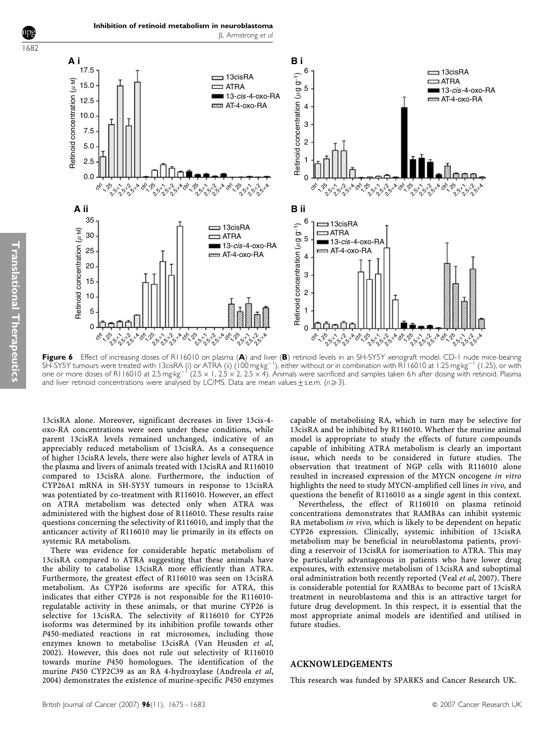1682



Figure 6 Effect of increasing doses of R116010 on plasma (A) and liver (B) retinoid levels in an SH-SY5Y xenograft model. CD-1 nude mice-bearing <code>SH-SYSY</code> tumours were treated with <code>l3cisRA</code> (i) or ATRA (ii) (100 mg kg $^{-1}$ ), either without or in combination with <code>R116010</code> at 1.25 mg kg $^{-1}$  (1.25), or with one or more doses of R116010 at 2.5 mg kg<sup>-1</sup> (2.5 x 1, 2.5 x 2, 2.5 x 4). Animals were sacrificed and samples taken 6 h after dosing with retinoid. Plasma and liver retinoid concentrations were analysed by LC/MS. Data are mean values  $\pm$  s.e.m. (n  $\geq$  3).

13cisRA alone. Moreover, significant decreases in liver 13cis-4 oxo-RA concentrations were seen under these conditions, while parent 13cisRA levels remained unchanged, indicative of an appreciably reduced metabolism of 13cisRA. As a consequence of higher 13cisRA levels, there were also higher levels of ATRA in the plasma and livers of animals treated with 13cisRA and R116010 compared to 13cisRA alone. Furthermore, the induction of CYP26A1 mRNA in SH-SY5Y tumours in response to 13cisRA was potentiated by co-treatment with R116010. However, an effect on ATRA metabolism was detected only when ATRA was administered with the highest dose of R116010. These results raise questions concerning the selectivity of R116010, and imply that the anticancer activity of R116010 may lie primarily in its effects on systemic RA metabolism.

Inhibition of retinoid metabolism in neuroblastoma

JL Armstrong et al

There was evidence for considerable hepatic metabolism of 13cisRA compared to ATRA suggesting that these animals have the ability to catabolise 13cisRA more efficiently than ATRA. Furthermore, the greatest effect of R116010 was seen on 13cisRA metabolism. As CYP26 isoforms are specific for ATRA, this indicates that either CYP26 is not responsible for the R116010 regulatable activity in these animals, or that murine CYP26 is selective for 13cisRA. The selectivity of R116010 for CYP26 isoforms was determined by its inhibition profile towards other P450-mediated reactions in rat microsomes, including those enzymes known to metabolise 13cisRA (Van Heusden et al, 2002). However, this does not rule out selectivity of R116010 towards murine P450 homologues. The identification of the murine P450 CYP2C39 as an RA 4-hydroxylase (Andreola et al, 2004) demonstrates the existence of murine-specific P450 enzymes

capable of metabolising RA, which in turn may be selective for 13cisRA and be inhibited by R116010. Whether the murine animal model is appropriate to study the effects of future compounds capable of inhibiting ATRA metabolism is clearly an important issue, which needs to be considered in future studies. The observation that treatment of NGP cells with R116010 alone resulted in increased expression of the MYCN oncogene in vitro highlights the need to study MYCN-amplified cell lines in vivo, and questions the benefit of R116010 as a single agent in this context.

Nevertheless, the effect of R116010 on plasma retinoid concentrations demonstrates that RAMBAs can inhibit systemic RA metabolism in vivo, which is likely to be dependent on hepatic CYP26 expression. Clinically, systemic inhibition of 13cisRA metabolism may be beneficial in neuroblastoma patients, providing a reservoir of 13cisRA for isomerisation to ATRA. This may be particularly advantageous in patients who have lower drug exposures, with extensive metabolism of 13cisRA and suboptimal oral administration both recently reported (Veal et al, 2007). There is considerable potential for RAMBAs to become part of 13cisRA treatment in neuroblastoma and this is an attractive target for future drug development. In this respect, it is essential that the most appropriate animal models are identified and utilised in future studies.

## ACKNOWLEDGEMENTS

This research was funded by SPARKS and Cancer Research UK.